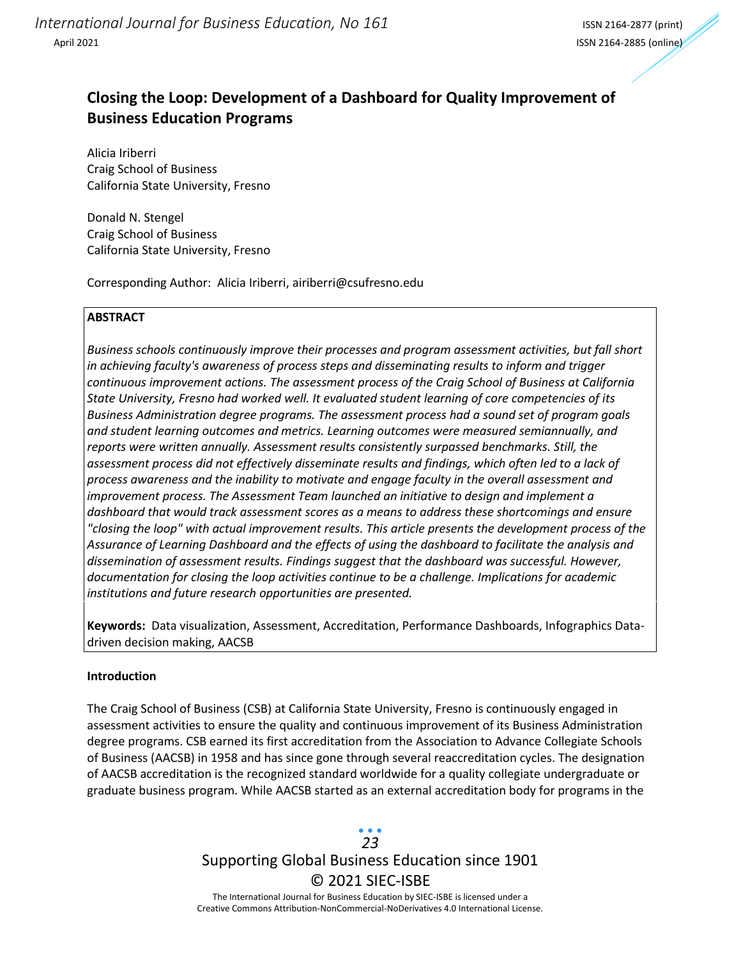# **Closing the Loop: Development of a Dashboard for Quality Improvement of Business Education Programs**

Alicia Iriberri Craig School of Business California State University, Fresno

Donald N. Stengel Craig School of Business California State University, Fresno

Corresponding Author: Alicia Iriberri, airiberri@csufresno.edu

### **ABSTRACT**

*Business schools continuously improve their processes and program assessment activities, but fall short in achieving faculty's awareness of process steps and disseminating results to inform and trigger continuous improvement actions. The assessment process of the Craig School of Business at California State University, Fresno had worked well. It evaluated student learning of core competencies of its Business Administration degree programs. The assessment process had a sound set of program goals and student learning outcomes and metrics. Learning outcomes were measured semiannually, and reports were written annually. Assessment results consistently surpassed benchmarks. Still, the assessment process did not effectively disseminate results and findings, which often led to a lack of process awareness and the inability to motivate and engage faculty in the overall assessment and improvement process. The Assessment Team launched an initiative to design and implement a dashboard that would track assessment scores as a means to address these shortcomings and ensure "closing the loop" with actual improvement results. This article presents the development process of the Assurance of Learning Dashboard and the effects of using the dashboard to facilitate the analysis and dissemination of assessment results. Findings suggest that the dashboard was successful. However, documentation for closing the loop activities continue to be a challenge. Implications for academic institutions and future research opportunities are presented.*

**Keywords:** Data visualization, Assessment, Accreditation, Performance Dashboards, Infographics Datadriven decision making, AACSB

### **Introduction**

The Craig School of Business (CSB) at California State University, Fresno is continuously engaged in assessment activities to ensure the quality and continuous improvement of its Business Administration degree programs. CSB earned its first accreditation from the Association to Advance Collegiate Schools of Business (AACSB) in 1958 and has since gone through several reaccreditation cycles. The designation of AACSB accreditation is the recognized standard worldwide for a quality collegiate undergraduate or graduate business program. While AACSB started as an external accreditation body for programs in the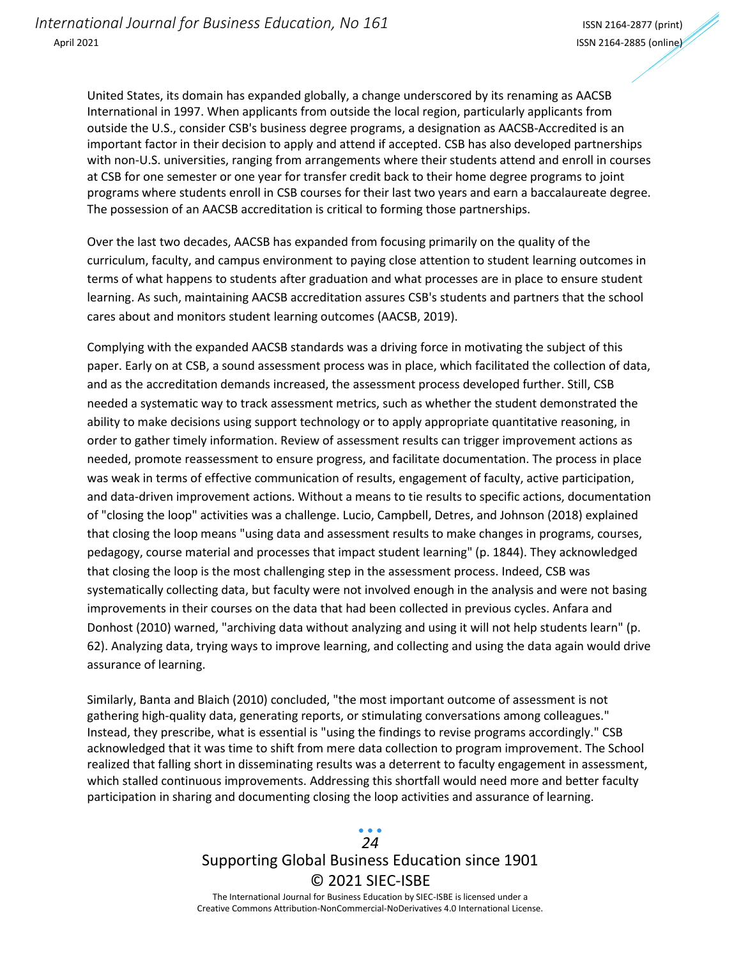United States, its domain has expanded globally, a change underscored by its renaming as AACSB International in 1997. When applicants from outside the local region, particularly applicants from outside the U.S., consider CSB's business degree programs, a designation as AACSB-Accredited is an important factor in their decision to apply and attend if accepted. CSB has also developed partnerships with non-U.S. universities, ranging from arrangements where their students attend and enroll in courses at CSB for one semester or one year for transfer credit back to their home degree programs to joint programs where students enroll in CSB courses for their last two years and earn a baccalaureate degree. The possession of an AACSB accreditation is critical to forming those partnerships.

Over the last two decades, AACSB has expanded from focusing primarily on the quality of the curriculum, faculty, and campus environment to paying close attention to student learning outcomes in terms of what happens to students after graduation and what processes are in place to ensure student learning. As such, maintaining AACSB accreditation assures CSB's students and partners that the school cares about and monitors student learning outcomes (AACSB, 2019).

Complying with the expanded AACSB standards was a driving force in motivating the subject of this paper. Early on at CSB, a sound assessment process was in place, which facilitated the collection of data, and as the accreditation demands increased, the assessment process developed further. Still, CSB needed a systematic way to track assessment metrics, such as whether the student demonstrated the ability to make decisions using support technology or to apply appropriate quantitative reasoning, in order to gather timely information. Review of assessment results can trigger improvement actions as needed, promote reassessment to ensure progress, and facilitate documentation. The process in place was weak in terms of effective communication of results, engagement of faculty, active participation, and data-driven improvement actions. Without a means to tie results to specific actions, documentation of "closing the loop" activities was a challenge. Lucio, Campbell, Detres, and Johnson (2018) explained that closing the loop means "using data and assessment results to make changes in programs, courses, pedagogy, course material and processes that impact student learning" (p. 1844). They acknowledged that closing the loop is the most challenging step in the assessment process. Indeed, CSB was systematically collecting data, but faculty were not involved enough in the analysis and were not basing improvements in their courses on the data that had been collected in previous cycles. Anfara and Donhost (2010) warned, "archiving data without analyzing and using it will not help students learn" (p. 62). Analyzing data, trying ways to improve learning, and collecting and using the data again would drive assurance of learning.

Similarly, Banta and Blaich (2010) concluded, "the most important outcome of assessment is not gathering high-quality data, generating reports, or stimulating conversations among colleagues." Instead, they prescribe, what is essential is "using the findings to revise programs accordingly." CSB acknowledged that it was time to shift from mere data collection to program improvement. The School realized that falling short in disseminating results was a deterrent to faculty engagement in assessment, which stalled continuous improvements. Addressing this shortfall would need more and better faculty participation in sharing and documenting closing the loop activities and assurance of learning.

## Supporting Global Business Education since 1901 © 2021 SIEC-ISBE The International Journal for Business Education by SIEC-ISBE is licensed under a *24*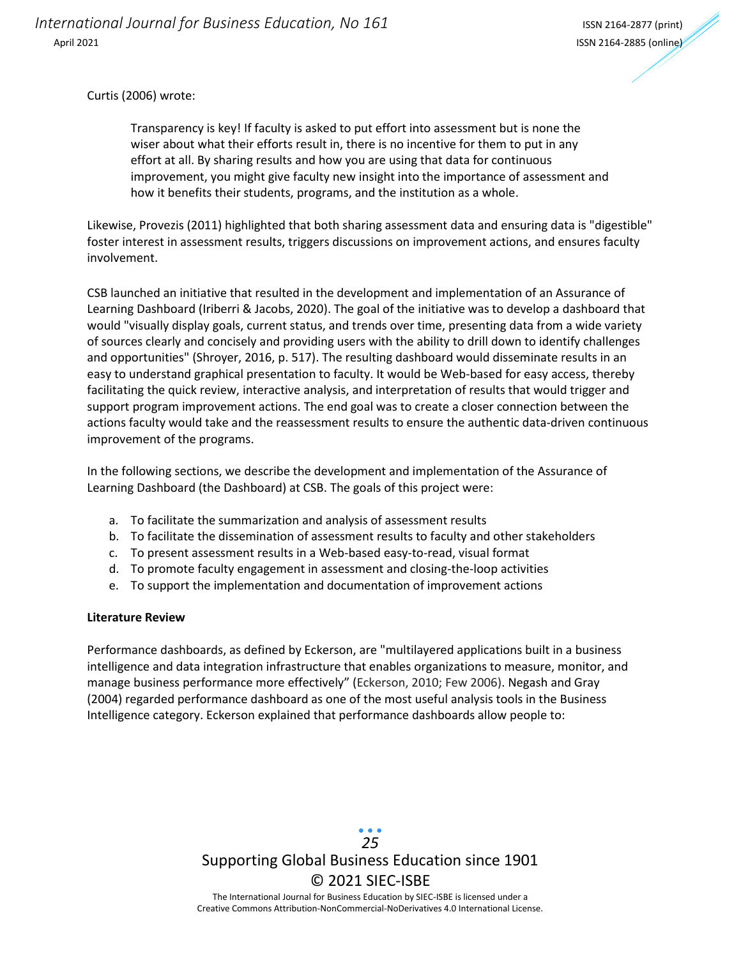Curtis (2006) wrote:

Transparency is key! If faculty is asked to put effort into assessment but is none the wiser about what their efforts result in, there is no incentive for them to put in any effort at all. By sharing results and how you are using that data for continuous improvement, you might give faculty new insight into the importance of assessment and how it benefits their students, programs, and the institution as a whole.

Likewise, Provezis (2011) highlighted that both sharing assessment data and ensuring data is "digestible" foster interest in assessment results, triggers discussions on improvement actions, and ensures faculty involvement.

CSB launched an initiative that resulted in the development and implementation of an Assurance of Learning Dashboard (Iriberri & Jacobs, 2020). The goal of the initiative was to develop a dashboard that would "visually display goals, current status, and trends over time, presenting data from a wide variety of sources clearly and concisely and providing users with the ability to drill down to identify challenges and opportunities" (Shroyer, 2016, p. 517). The resulting dashboard would disseminate results in an easy to understand graphical presentation to faculty. It would be Web-based for easy access, thereby facilitating the quick review, interactive analysis, and interpretation of results that would trigger and support program improvement actions. The end goal was to create a closer connection between the actions faculty would take and the reassessment results to ensure the authentic data-driven continuous improvement of the programs.

In the following sections, we describe the development and implementation of the Assurance of Learning Dashboard (the Dashboard) at CSB. The goals of this project were:

- a. To facilitate the summarization and analysis of assessment results
- b. To facilitate the dissemination of assessment results to faculty and other stakeholders
- c. To present assessment results in a Web-based easy-to-read, visual format
- d. To promote faculty engagement in assessment and closing-the-loop activities
- e. To support the implementation and documentation of improvement actions

#### **Literature Review**

Performance dashboards, as defined by Eckerson, are "multilayered applications built in a business intelligence and data integration infrastructure that enables organizations to measure, monitor, and manage business performance more effectively" (Eckerson, 2010; Few 2006). Negash and Gray (2004) regarded performance dashboard as one of the most useful analysis tools in the Business Intelligence category. Eckerson explained that performance dashboards allow people to:

> Supporting Global Business Education since 1901 © 2021 SIEC-ISBE The International Journal for Business Education by SIEC-ISBE is licensed under a *25*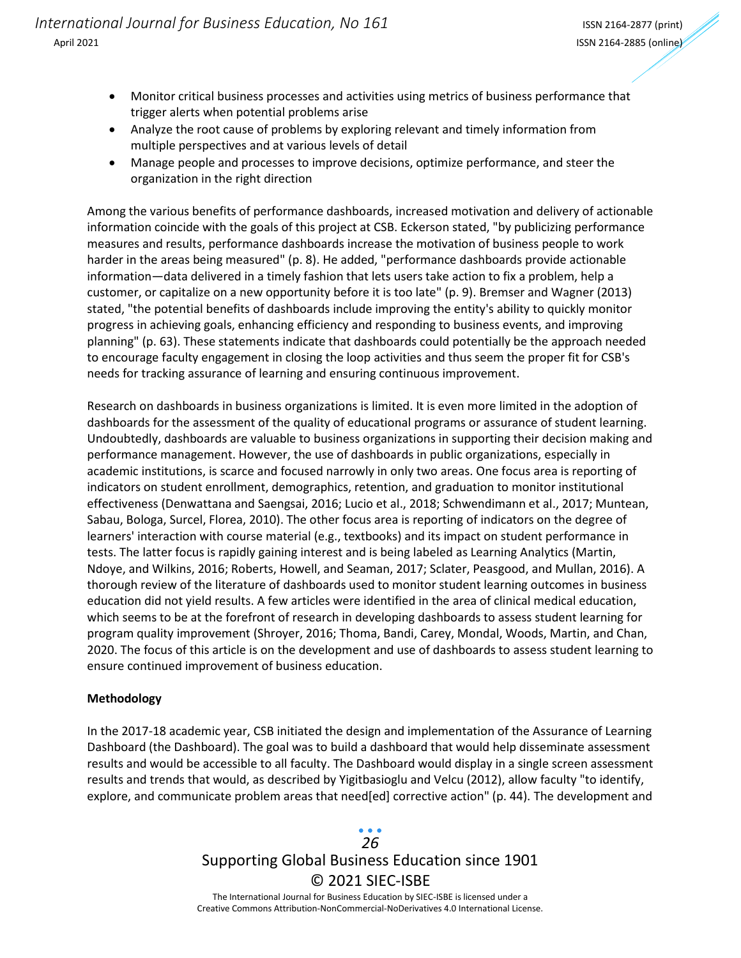- Monitor critical business processes and activities using metrics of business performance that trigger alerts when potential problems arise
- Analyze the root cause of problems by exploring relevant and timely information from multiple perspectives and at various levels of detail
- Manage people and processes to improve decisions, optimize performance, and steer the organization in the right direction

Among the various benefits of performance dashboards, increased motivation and delivery of actionable information coincide with the goals of this project at CSB. Eckerson stated, "by publicizing performance measures and results, performance dashboards increase the motivation of business people to work harder in the areas being measured" (p. 8). He added, "performance dashboards provide actionable information—data delivered in a timely fashion that lets users take action to fix a problem, help a customer, or capitalize on a new opportunity before it is too late" (p. 9). Bremser and Wagner (2013) stated, "the potential benefits of dashboards include improving the entity's ability to quickly monitor progress in achieving goals, enhancing efficiency and responding to business events, and improving planning" (p. 63). These statements indicate that dashboards could potentially be the approach needed to encourage faculty engagement in closing the loop activities and thus seem the proper fit for CSB's needs for tracking assurance of learning and ensuring continuous improvement.

Research on dashboards in business organizations is limited. It is even more limited in the adoption of dashboards for the assessment of the quality of educational programs or assurance of student learning. Undoubtedly, dashboards are valuable to business organizations in supporting their decision making and performance management. However, the use of dashboards in public organizations, especially in academic institutions, is scarce and focused narrowly in only two areas. One focus area is reporting of indicators on student enrollment, demographics, retention, and graduation to monitor institutional effectiveness (Denwattana and Saengsai, 2016; Lucio et al., 2018; Schwendimann et al., 2017; Muntean, Sabau, Bologa, Surcel, Florea, 2010). The other focus area is reporting of indicators on the degree of learners' interaction with course material (e.g., textbooks) and its impact on student performance in tests. The latter focus is rapidly gaining interest and is being labeled as Learning Analytics (Martin, Ndoye, and Wilkins, 2016; Roberts, Howell, and Seaman, 2017; Sclater, Peasgood, and Mullan, 2016). A thorough review of the literature of dashboards used to monitor student learning outcomes in business education did not yield results. A few articles were identified in the area of clinical medical education, which seems to be at the forefront of research in developing dashboards to assess student learning for program quality improvement (Shroyer, 2016; Thoma, Bandi, Carey, Mondal, Woods, Martin, and Chan, 2020. The focus of this article is on the development and use of dashboards to assess student learning to ensure continued improvement of business education.

### **Methodology**

In the 2017-18 academic year, CSB initiated the design and implementation of the Assurance of Learning Dashboard (the Dashboard). The goal was to build a dashboard that would help disseminate assessment results and would be accessible to all faculty. The Dashboard would display in a single screen assessment results and trends that would, as described by Yigitbasioglu and Velcu (2012), allow faculty "to identify, explore, and communicate problem areas that need[ed] corrective action" (p. 44). The development and

# Supporting Global Business Education since 1901 © 2021 SIEC-ISBE The International Journal for Business Education by SIEC-ISBE is licensed under a *26*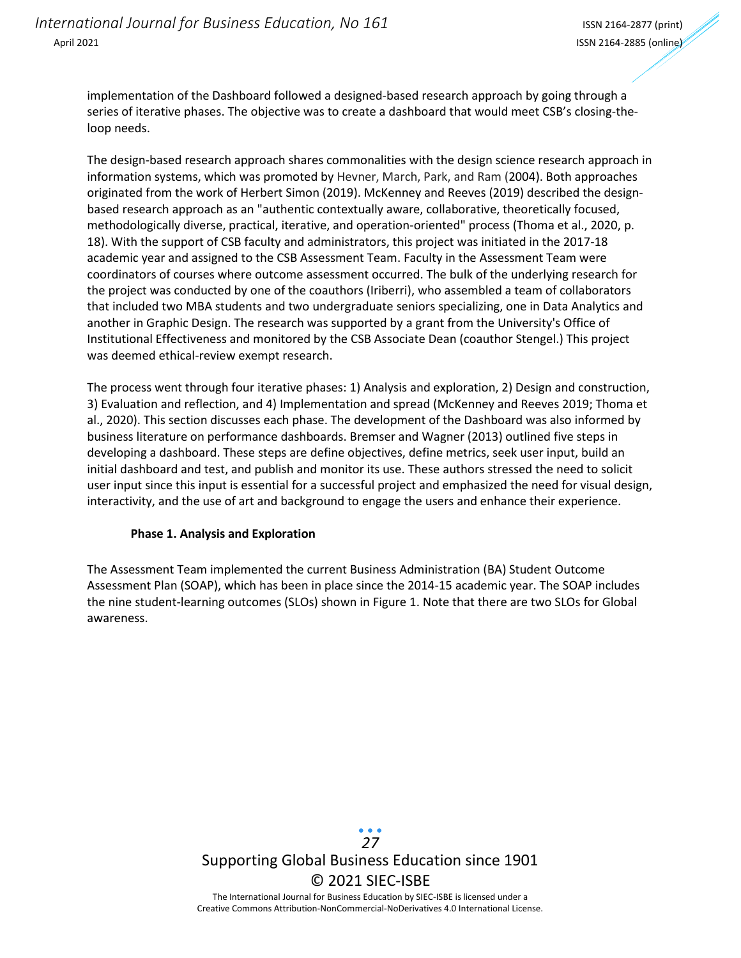implementation of the Dashboard followed a designed-based research approach by going through a series of iterative phases. The objective was to create a dashboard that would meet CSB's closing-theloop needs.

The design-based research approach shares commonalities with the design science research approach in information systems, which was promoted by Hevner, March, Park, and Ram (2004). Both approaches originated from the work of Herbert Simon (2019). McKenney and Reeves (2019) described the designbased research approach as an "authentic contextually aware, collaborative, theoretically focused, methodologically diverse, practical, iterative, and operation-oriented" process (Thoma et al., 2020, p. 18). With the support of CSB faculty and administrators, this project was initiated in the 2017-18 academic year and assigned to the CSB Assessment Team. Faculty in the Assessment Team were coordinators of courses where outcome assessment occurred. The bulk of the underlying research for the project was conducted by one of the coauthors (Iriberri), who assembled a team of collaborators that included two MBA students and two undergraduate seniors specializing, one in Data Analytics and another in Graphic Design. The research was supported by a grant from the University's Office of Institutional Effectiveness and monitored by the CSB Associate Dean (coauthor Stengel.) This project was deemed ethical-review exempt research.

The process went through four iterative phases: 1) Analysis and exploration, 2) Design and construction, 3) Evaluation and reflection, and 4) Implementation and spread (McKenney and Reeves 2019; Thoma et al., 2020). This section discusses each phase. The development of the Dashboard was also informed by business literature on performance dashboards. Bremser and Wagner (2013) outlined five steps in developing a dashboard. These steps are define objectives, define metrics, seek user input, build an initial dashboard and test, and publish and monitor its use. These authors stressed the need to solicit user input since this input is essential for a successful project and emphasized the need for visual design, interactivity, and the use of art and background to engage the users and enhance their experience.

#### **Phase 1. Analysis and Exploration**

The Assessment Team implemented the current Business Administration (BA) Student Outcome Assessment Plan (SOAP), which has been in place since the 2014-15 academic year. The SOAP includes the nine student-learning outcomes (SLOs) shown in Figure 1. Note that there are two SLOs for Global awareness.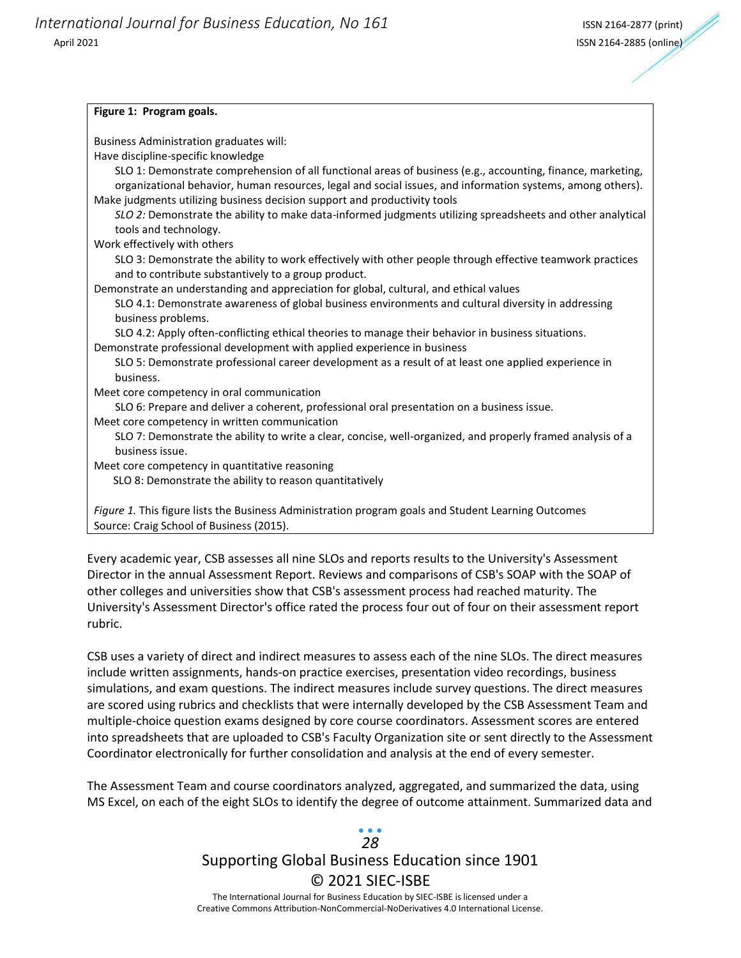#### **Figure 1: Program goals.**

Business Administration graduates will:

Have discipline-specific knowledge

SLO 1: Demonstrate comprehension of all functional areas of business (e.g., accounting, finance, marketing, organizational behavior, human resources, legal and social issues, and information systems, among others). Make judgments utilizing business decision support and productivity tools

*SLO 2:* Demonstrate the ability to make data-informed judgments utilizing spreadsheets and other analytical tools and technology.

Work effectively with others

SLO 3: Demonstrate the ability to work effectively with other people through effective teamwork practices and to contribute substantively to a group product.

Demonstrate an understanding and appreciation for global, cultural, and ethical values

SLO 4.1: Demonstrate awareness of global business environments and cultural diversity in addressing business problems.

SLO 4.2: Apply often-conflicting ethical theories to manage their behavior in business situations. Demonstrate professional development with applied experience in business

SLO 5: Demonstrate professional career development as a result of at least one applied experience in business.

Meet core competency in oral communication

SLO 6: Prepare and deliver a coherent, professional oral presentation on a business issue.

Meet core competency in written communication

SLO 7: Demonstrate the ability to write a clear, concise, well-organized, and properly framed analysis of a business issue.

Meet core competency in quantitative reasoning

SLO 8: Demonstrate the ability to reason quantitatively

*Figure 1.* This figure lists the Business Administration program goals and Student Learning Outcomes Source: Craig School of Business (2015).

Every academic year, CSB assesses all nine SLOs and reports results to the University's Assessment Director in the annual Assessment Report. Reviews and comparisons of CSB's SOAP with the SOAP of other colleges and universities show that CSB's assessment process had reached maturity. The University's Assessment Director's office rated the process four out of four on their assessment report rubric.

CSB uses a variety of direct and indirect measures to assess each of the nine SLOs. The direct measures include written assignments, hands-on practice exercises, presentation video recordings, business simulations, and exam questions. The indirect measures include survey questions. The direct measures are scored using rubrics and checklists that were internally developed by the CSB Assessment Team and multiple-choice question exams designed by core course coordinators. Assessment scores are entered into spreadsheets that are uploaded to CSB's Faculty Organization site or sent directly to the Assessment Coordinator electronically for further consolidation and analysis at the end of every semester.

The Assessment Team and course coordinators analyzed, aggregated, and summarized the data, using MS Excel, on each of the eight SLOs to identify the degree of outcome attainment. Summarized data and

# Supporting Global Business Education since 1901 © 2021 SIEC-ISBE *28*

The International Journal for Business Education by SIEC-ISBE is licensed under a Creative Commons Attribution-NonCommercial-NoDerivatives 4.0 International License.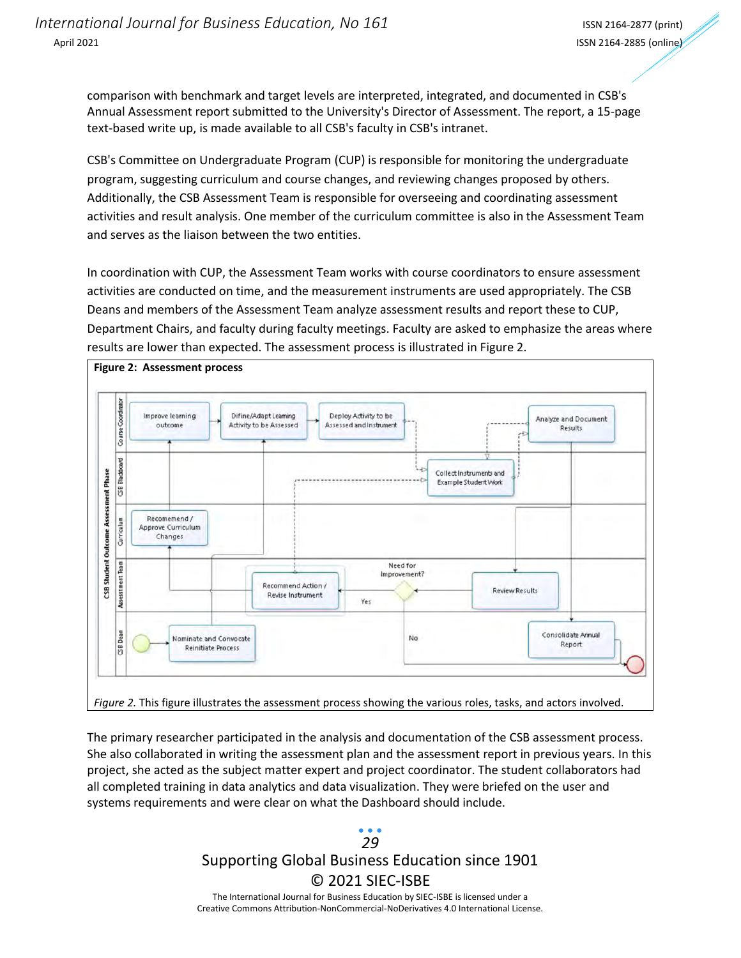comparison with benchmark and target levels are interpreted, integrated, and documented in CSB's Annual Assessment report submitted to the University's Director of Assessment. The report, a 15-page text-based write up, is made available to all CSB's faculty in CSB's intranet.

CSB's Committee on Undergraduate Program (CUP) is responsible for monitoring the undergraduate program, suggesting curriculum and course changes, and reviewing changes proposed by others. Additionally, the CSB Assessment Team is responsible for overseeing and coordinating assessment activities and result analysis. One member of the curriculum committee is also in the Assessment Team and serves as the liaison between the two entities.

In coordination with CUP, the Assessment Team works with course coordinators to ensure assessment activities are conducted on time, and the measurement instruments are used appropriately. The CSB Deans and members of the Assessment Team analyze assessment results and report these to CUP, Department Chairs, and faculty during faculty meetings. Faculty are asked to emphasize the areas where results are lower than expected. The assessment process is illustrated in Figure 2.



The primary researcher participated in the analysis and documentation of the CSB assessment process. She also collaborated in writing the assessment plan and the assessment report in previous years. In this project, she acted as the subject matter expert and project coordinator. The student collaborators had all completed training in data analytics and data visualization. They were briefed on the user and systems requirements and were clear on what the Dashboard should include.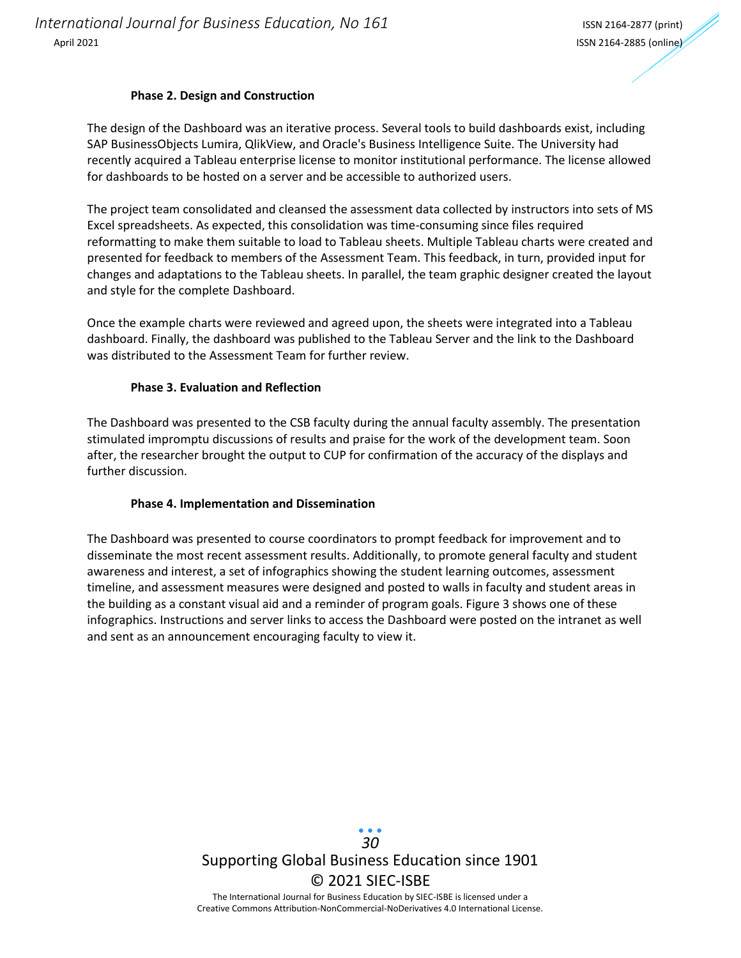#### **Phase 2. Design and Construction**

The design of the Dashboar[d](https://tableau.fresnostate.edu/?:iid=1#/views/TableauAssessmentPresentation/TableauPresentation) was an iterative process. Several tools to build dashboards exist, including SAP BusinessObjects Lumira, QlikView, and Oracle's Business Intelligence Suite. The University had recently acquired a Tableau enterprise license to monitor institutional performance. The license allowed for dashboards to be hosted on a server and be accessible to authorized users.

The project team consolidated and cleansed the assessment data collected by instructors into sets of MS Excel spreadsheets. As expected, this consolidation was time-consuming since files required reformatting to make them suitable to load to Tableau sheets. Multiple Tableau charts were created and presented for feedback to members of the Assessment Team. This feedback, in turn, provided input for changes and adaptations to the Tableau sheets. In parallel, the team graphic designer created the layout and style for the complete Dashboard.

Once the example charts were reviewed and agreed upon, the sheets were integrated into a Tableau dashboard. Finally, the dashboard was published to the Tableau Server and the link to the Dashboard was distributed to the Assessment Team for further review.

#### **Phase 3. Evaluation and Reflection**

The Dashboard was presented to the CSB faculty during the annual faculty assembly. The presentation stimulated impromptu discussions of results and praise for the work of the development team. Soon after, the researcher brought the output to CUP for confirmation of the accuracy of the displays and further discussion.

#### **Phase 4. Implementation and Dissemination**

The Dashboard was presented to course coordinators to prompt feedback for improvement and to disseminate the most recent assessment results. Additionally, to promote general faculty and student awareness and interest, a set of infographics showing the student learning outcomes, assessment timeline, and assessment measures were designed and posted to walls in faculty and student areas in the building as a constant visual aid and a reminder of program goals. Figure 3 shows one of these infographics. Instructions and server links to access the Dashboard were posted on the intranet as well and sent as an announcement encouraging faculty to view it.

> Supporting Global Business Education since 1901 © 2021 SIEC-ISBE The International Journal for Business Education by SIEC-ISBE is licensed under a *30*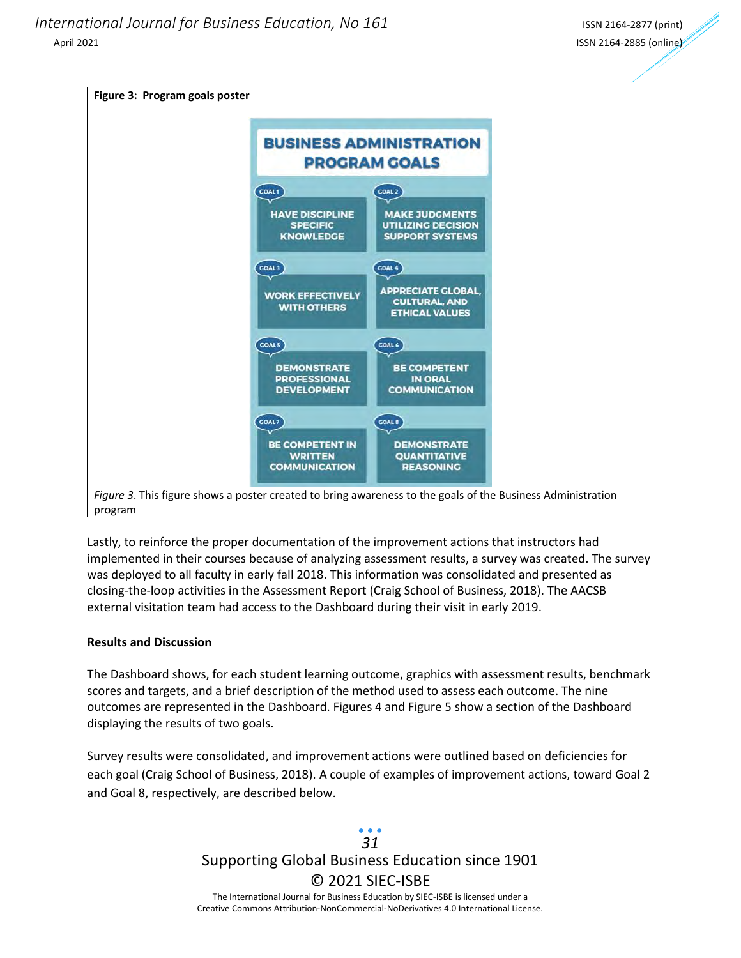

Lastly, to reinforce the proper documentation of the improvement actions that instructors had implemented in their courses because of analyzing assessment results, a survey was created. The survey was deployed to all faculty in early fall 2018. This information was consolidated and presented as closing-the-loop activities in the Assessment Report (Craig School of Business, 2018). The AACSB external visitation team had access to the Dashboard during their visit in early 2019.

#### **Results and Discussion**

The Dashboard shows, for each student learning outcome, graphics with assessment results, benchmark scores and targets, and a brief description of the method used to assess each outcome. The nine outcomes are represented in the Dashboard. Figures 4 and Figure 5 show a section of the Dashboard displaying the results of two goals.

Survey results were consolidated, and improvement actions were outlined based on deficiencies for each goal (Craig School of Business, 2018). A couple of examples of improvement actions, toward Goal 2 and Goal 8, respectively, are described below.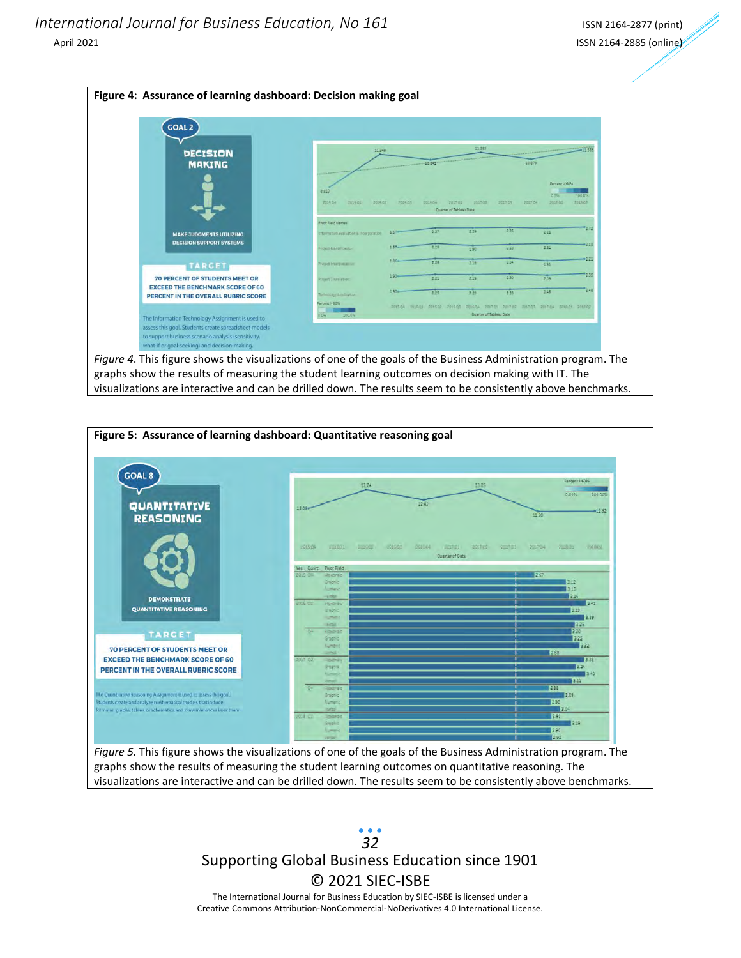



Supporting Global Business Education since 1901 © 2021 SIEC-ISBE The International Journal for Business Education by SIEC-ISBE is licensed under a *32*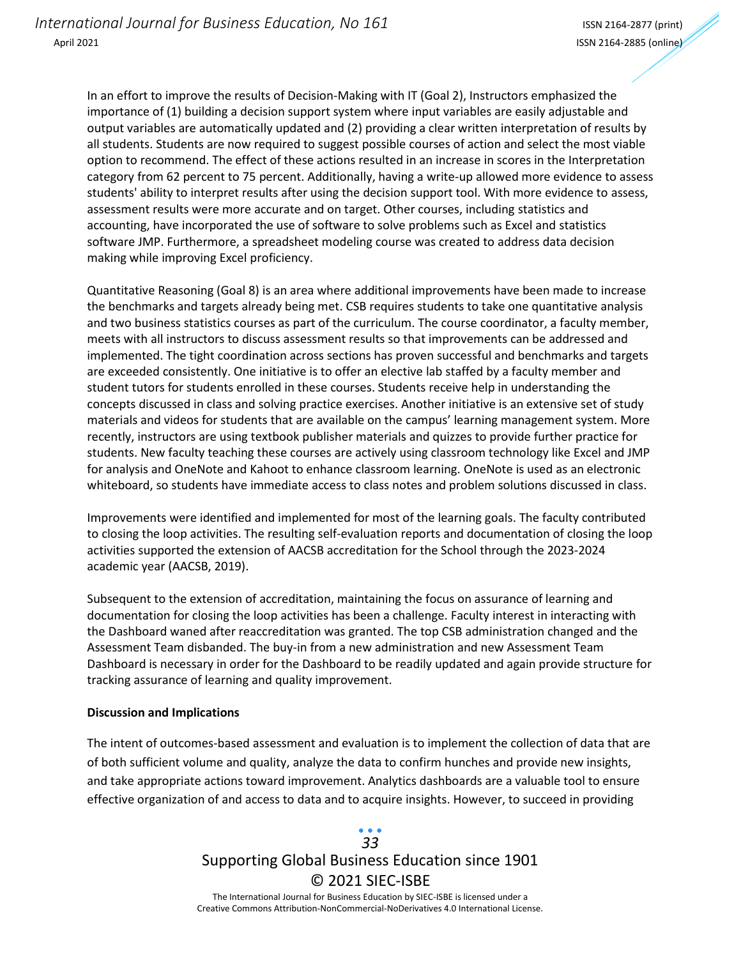In an effort to improve the results of Decision-Making with IT (Goal 2), Instructors emphasized the importance of (1) building a decision support system where input variables are easily adjustable and output variables are automatically updated and (2) providing a clear written interpretation of results by all students. Students are now required to suggest possible courses of action and select the most viable option to recommend. The effect of these actions resulted in an increase in scores in the Interpretation category from 62 percent to 75 percent. Additionally, having a write-up allowed more evidence to assess students' ability to interpret results after using the decision support tool. With more evidence to assess, assessment results were more accurate and on target. Other courses, including statistics and accounting, have incorporated the use of software to solve problems such as Excel and statistics software JMP. Furthermore, a spreadsheet modeling course was created to address data decision making while improving Excel proficiency.

Quantitative Reasoning (Goal 8) is an area where additional improvements have been made to increase the benchmarks and targets already being met. CSB requires students to take one quantitative analysis and two business statistics courses as part of the curriculum. The course coordinator, a faculty member, meets with all instructors to discuss assessment results so that improvements can be addressed and implemented. The tight coordination across sections has proven successful and benchmarks and targets are exceeded consistently. One initiative is to offer an elective lab staffed by a faculty member and student tutors for students enrolled in these courses. Students receive help in understanding the concepts discussed in class and solving practice exercises. Another initiative is an extensive set of study materials and videos for students that are available on the campus' learning management system. More recently, instructors are using textbook publisher materials and quizzes to provide further practice for students. New faculty teaching these courses are actively using classroom technology like Excel and JMP for analysis and OneNote and Kahoot to enhance classroom learning. OneNote is used as an electronic whiteboard, so students have immediate access to class notes and problem solutions discussed in class.

Improvements were identified and implemented for most of the learning goals. The faculty contributed to closing the loop activities. The resulting self-evaluation reports and documentation of closing the loop activities supported the extension of AACSB accreditation for the School through the 2023-2024 academic year (AACSB, 2019).

Subsequent to the extension of accreditation, maintaining the focus on assurance of learning and documentation for closing the loop activities has been a challenge. Faculty interest in interacting with the Dashboard waned after reaccreditation was granted. The top CSB administration changed and the Assessment Team disbanded. The buy-in from a new administration and new Assessment Team Dashboard is necessary in order for the Dashboard to be readily updated and again provide structure for tracking assurance of learning and quality improvement.

### **Discussion and Implications**

The intent of outcomes-based assessment and evaluation is to implement the collection of data that are of both sufficient volume and quality, analyze the data to confirm hunches and provide new insights, and take appropriate actions toward improvement. Analytics dashboards are a valuable tool to ensure effective organization of and access to data and to acquire insights. However, to succeed in providing

## Supporting Global Business Education since 1901 © 2021 SIEC-ISBE The International Journal for Business Education by SIEC-ISBE is licensed under a *33*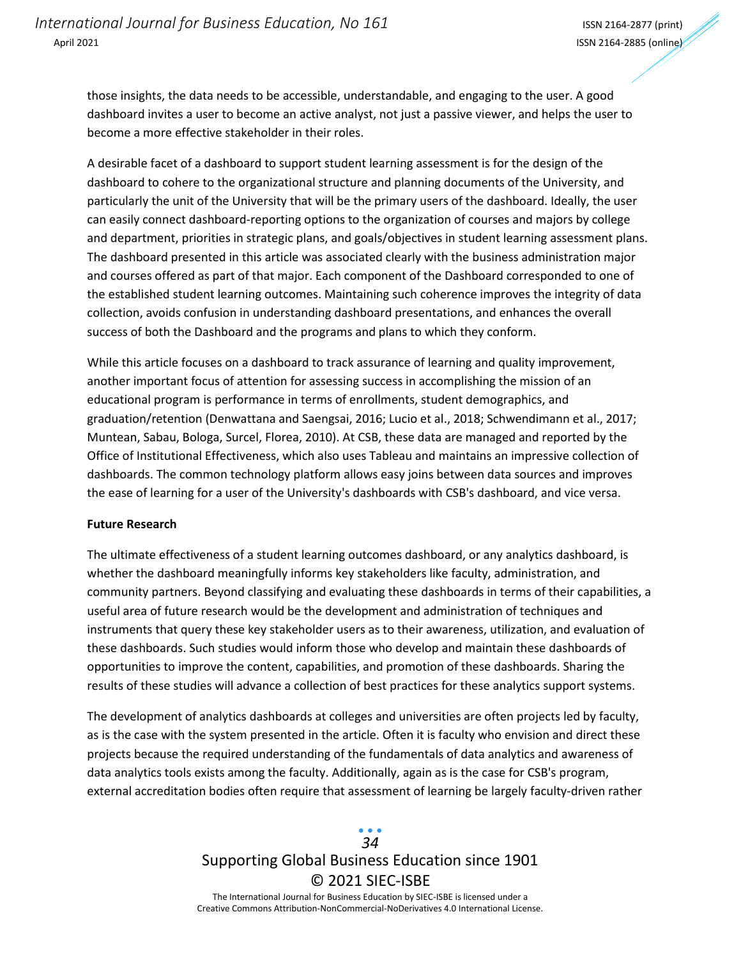those insights, the data needs to be accessible, understandable, and engaging to the user. A good dashboard invites a user to become an active analyst, not just a passive viewer, and helps the user to become a more effective stakeholder in their roles.

A desirable facet of a dashboard to support student learning assessment is for the design of the dashboard to cohere to the organizational structure and planning documents of the University, and particularly the unit of the University that will be the primary users of the dashboard. Ideally, the user can easily connect dashboard-reporting options to the organization of courses and majors by college and department, priorities in strategic plans, and goals/objectives in student learning assessment plans. The dashboard presented in this article was associated clearly with the business administration major and courses offered as part of that major. Each component of the Dashboard corresponded to one of the established student learning outcomes. Maintaining such coherence improves the integrity of data collection, avoids confusion in understanding dashboard presentations, and enhances the overall success of both the Dashboard and the programs and plans to which they conform.

While this article focuses on a dashboard to track assurance of learning and quality improvement, another important focus of attention for assessing success in accomplishing the mission of an educational program is performance in terms of enrollments, student demographics, and graduation/retention (Denwattana and Saengsai, 2016; Lucio et al., 2018; Schwendimann et al., 2017; Muntean, Sabau, Bologa, Surcel, Florea, 2010). At CSB, these data are managed and reported by the Office of Institutional Effectiveness, which also uses Tableau and maintains an impressive collection of dashboards. The common technology platform allows easy joins between data sources and improves the ease of learning for a user of the University's dashboards with CSB's dashboard, and vice versa.

#### **Future Research**

The ultimate effectiveness of a student learning outcomes dashboard, or any analytics dashboard, is whether the dashboard meaningfully informs key stakeholders like faculty, administration, and community partners. Beyond classifying and evaluating these dashboards in terms of their capabilities, a useful area of future research would be the development and administration of techniques and instruments that query these key stakeholder users as to their awareness, utilization, and evaluation of these dashboards. Such studies would inform those who develop and maintain these dashboards of opportunities to improve the content, capabilities, and promotion of these dashboards. Sharing the results of these studies will advance a collection of best practices for these analytics support systems.

The development of analytics dashboards at colleges and universities are often projects led by faculty, as is the case with the system presented in the article. Often it is faculty who envision and direct these projects because the required understanding of the fundamentals of data analytics and awareness of data analytics tools exists among the faculty. Additionally, again as is the case for CSB's program, external accreditation bodies often require that assessment of learning be largely faculty-driven rather

# Supporting Global Business Education since 1901 © 2021 SIEC-ISBE The International Journal for Business Education by SIEC-ISBE is licensed under a *34*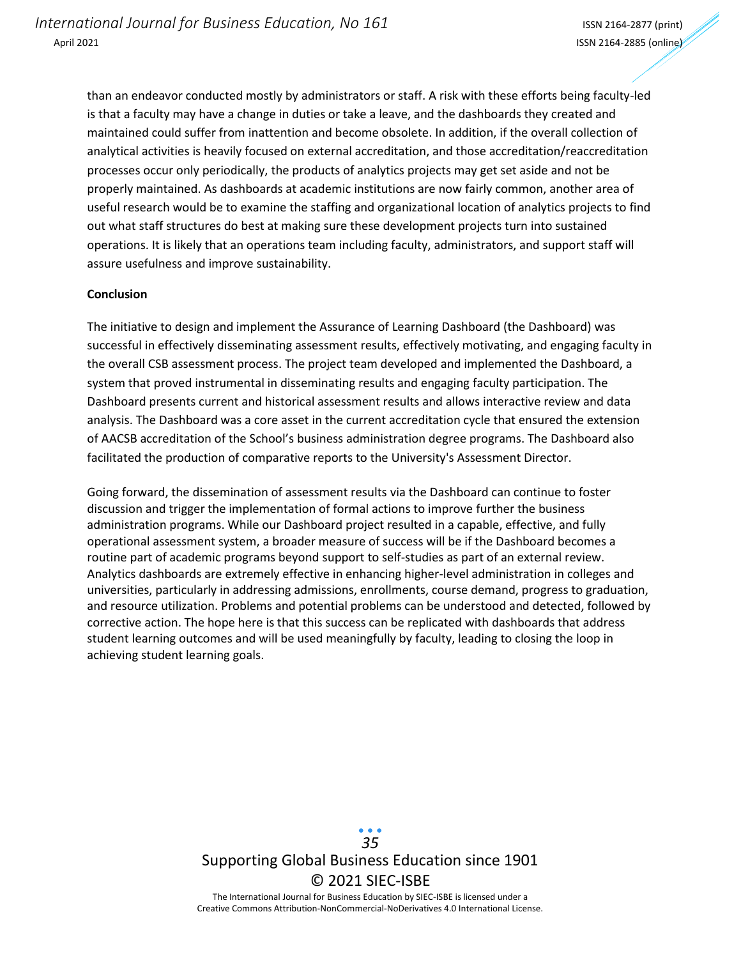than an endeavor conducted mostly by administrators or staff. A risk with these efforts being faculty-led is that a faculty may have a change in duties or take a leave, and the dashboards they created and maintained could suffer from inattention and become obsolete. In addition, if the overall collection of analytical activities is heavily focused on external accreditation, and those accreditation/reaccreditation processes occur only periodically, the products of analytics projects may get set aside and not be properly maintained. As dashboards at academic institutions are now fairly common, another area of useful research would be to examine the staffing and organizational location of analytics projects to find out what staff structures do best at making sure these development projects turn into sustained operations. It is likely that an operations team including faculty, administrators, and support staff will assure usefulness and improve sustainability.

#### **Conclusion**

The initiative to design and implement the Assurance of Learning Dashboard (the Dashboard) was successful in effectively disseminating assessment results, effectively motivating, and engaging faculty in the overall CSB assessment process. The project team developed and implemented the Dashboar[d,](https://tableau.fresnostate.edu/?:iid=1#/views/TableauAssessmentPresentation/TableauPresentation) a system that proved instrumental in disseminating results and engaging faculty participation. The Dashboard presents current and historical assessment results and allows interactive review and data analysis. The Dashboard was a core asset in the current accreditation cycle that ensured the extension of AACSB accreditation of the School's business administration degree programs. The Dashboard also facilitated the production of comparative reports to the University's Assessment Director.

Going forward, the dissemination of assessment results via the Dashboard can continue to foster discussion and trigger the implementation of formal actions to improve further the business administration programs. While our Dashboard project resulted in a capable, effective, and fully operational assessment system, a broader measure of success will be if the Dashboard becomes a routine part of academic programs beyond support to self-studies as part of an external review. Analytics dashboards are extremely effective in enhancing higher-level administration in colleges and universities, particularly in addressing admissions, enrollments, course demand, progress to graduation, and resource utilization. Problems and potential problems can be understood and detected, followed by corrective action. The hope here is that this success can be replicated with dashboards that address student learning outcomes and will be used meaningfully by faculty, leading to closing the loop in achieving student learning goals.

> Supporting Global Business Education since 1901 © 2021 SIEC-ISBE The International Journal for Business Education by SIEC-ISBE is licensed under a *35*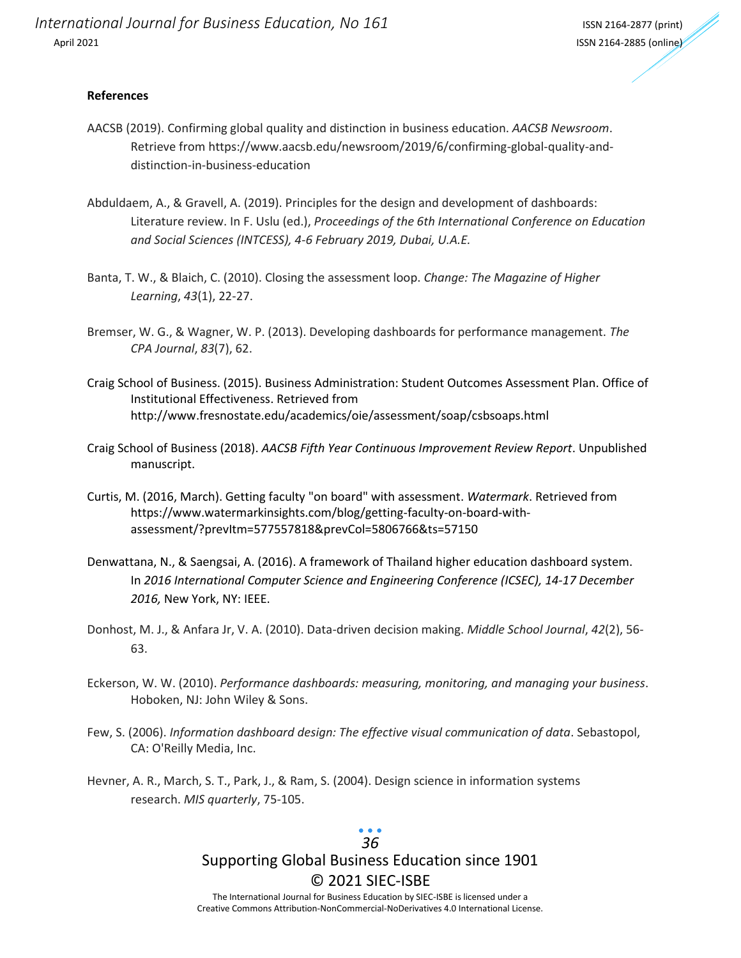#### **References**

- AACSB (2019). Confirming global quality and distinction in business education. *AACSB Newsroom*. Retrieve from https://www.aacsb.edu/newsroom/2019/6/confirming-global-quality-anddistinction-in-business-education
- Abduldaem, A., & Gravell, A. (2019). Principles for the design and development of dashboards: Literature review. In F. Uslu (ed.), *Proceedings of the 6th International Conference on Education and Social Sciences (INTCESS), 4-6 February 2019, Dubai, U.A.E.*
- Banta, T. W., & Blaich, C. (2010). Closing the assessment loop. *Change: The Magazine of Higher Learning*, *43*(1), 22-27.
- Bremser, W. G., & Wagner, W. P. (2013). Developing dashboards for performance management. *The CPA Journal*, *83*(7), 62.
- Craig School of Business. (2015). Business Administration: Student Outcomes Assessment Plan. Office of Institutional Effectiveness. Retrieved from http://www.fresnostate.edu/academics/oie/assessment/soap/csbsoaps.html
- Craig School of Business (2018). *AACSB Fifth Year Continuous Improvement Review Report*. Unpublished manuscript.
- Curtis, M. (2016, March). Getting faculty "on board" with assessment. *Watermark*. Retrieved from https://www.watermarkinsights.com/blog/getting-faculty-on-board-withassessment/?prevItm=577557818&prevCol=5806766&ts=57150
- Denwattana, N., & Saengsai, A. (2016). A framework of Thailand higher education dashboard system. In *2016 International Computer Science and Engineering Conference (ICSEC), 14-17 December 2016,* New York, NY: IEEE.
- Donhost, M. J., & Anfara Jr, V. A. (2010). Data-driven decision making. *Middle School Journal*, *42*(2), 56- 63.
- Eckerson, W. W. (2010). *Performance dashboards: measuring, monitoring, and managing your business*. Hoboken, NJ: John Wiley & Sons.
- Few, S. (2006). *Information dashboard design: The effective visual communication of data*. Sebastopol, CA: O'Reilly Media, Inc.
- Hevner, A. R., March, S. T., Park, J., & Ram, S. (2004). Design science in information systems research. *MIS quarterly*, 75-105.

# Supporting Global Business Education since 1901 © 2021 SIEC-ISBE *36*

The International Journal for Business Education by SIEC-ISBE is licensed under a Creative Commons Attribution-NonCommercial-NoDerivatives 4.0 International License.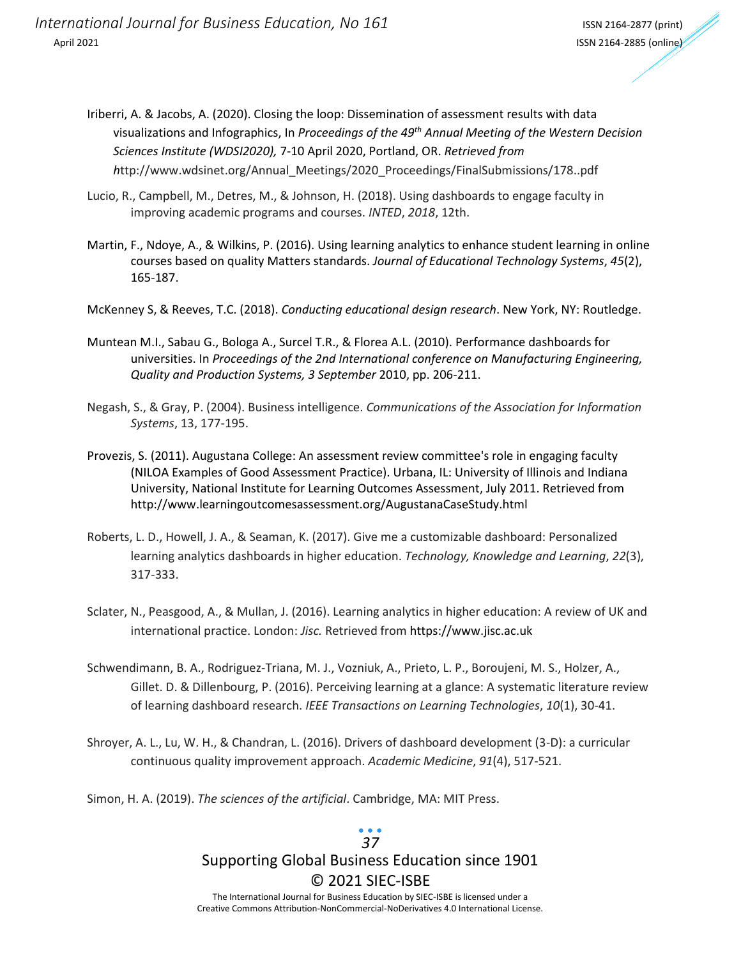- Iriberri, A. & Jacobs, A. (2020). Closing the loop: Dissemination of assessment results with data visualizations and Infographics, In *Proceedings of the 49th Annual Meeting of the Western Decision Sciences Institute (WDSI2020),* 7-10 April 2020, Portland, OR. *Retrieved from h*ttp://www.wdsinet.org/Annual\_Meetings/2020\_Proceedings/FinalSubmissions/178..pdf
- Lucio, R., Campbell, M., Detres, M., & Johnson, H. (2018). Using dashboards to engage faculty in improving academic programs and courses. *INTED*, *2018*, 12th.
- Martin, F., Ndoye, A., & Wilkins, P. (2016). Using learning analytics to enhance student learning in online courses based on quality Matters standards. *Journal of Educational Technology Systems*, *45*(2), 165-187.
- McKenney S, & Reeves, T.C. (2018). *Conducting educational design research*. New York, NY: Routledge.
- Muntean M.I., Sabau G., Bologa A., Surcel T.R., & Florea A.L. (2010). Performance dashboards for universities. In *Proceedings of the 2nd International conference on Manufacturing Engineering, Quality and Production Systems, 3 September* 2010, pp. 206-211.
- Negash, S., & Gray, P. (2004). Business intelligence. *Communications of the Association for Information Systems*, 13, 177-195.
- Provezis, S. (2011). Augustana College: An assessment review committee's role in engaging faculty (NILOA Examples of Good Assessment Practice). Urbana, IL: University of Illinois and Indiana University, National Institute for Learning Outcomes Assessment, July 2011. Retrieved from http://www.learningoutcomesassessment.org/AugustanaCaseStudy.html
- Roberts, L. D., Howell, J. A., & Seaman, K. (2017). Give me a customizable dashboard: Personalized learning analytics dashboards in higher education. *Technology, Knowledge and Learning*, *22*(3), 317-333.
- Sclater, N., Peasgood, A., & Mullan, J. (2016). Learning analytics in higher education: A review of UK and international practice. London: *Jisc.* Retrieved from https://www.jisc.ac.uk
- Schwendimann, B. A., Rodriguez-Triana, M. J., Vozniuk, A., Prieto, L. P., Boroujeni, M. S., Holzer, A., Gillet. D. & Dillenbourg, P. (2016). Perceiving learning at a glance: A systematic literature review of learning dashboard research. *IEEE Transactions on Learning Technologies*, *10*(1), 30-41.
- Shroyer, A. L., Lu, W. H., & Chandran, L. (2016). Drivers of dashboard development (3-D): a curricular continuous quality improvement approach. *Academic Medicine*, *91*(4), 517-521.
- Simon, H. A. (2019). *The sciences of the artificial*. Cambridge, MA: MIT Press.

### Supporting Global Business Education since 1901 © 2021 SIEC-ISBE The International Journal for Business Education by SIEC-ISBE is licensed under a *37*